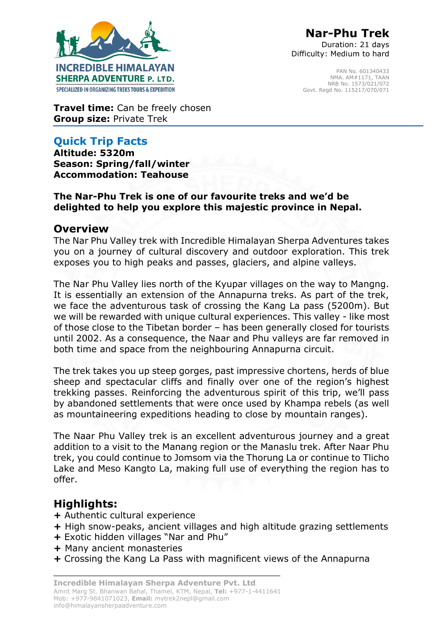

Duration: 21 days Difficulty: Medium to hard

> PAN No. 601340433 NMA. AM#1171, TAAN NRB No. 1573/021/072 Govt. Regd No. 115217/070/071

**Travel time:** Can be freely chosen **Group size:** Private Trek

## **Quick Trip Facts**

**Altitude: 5320m Season: Spring/fall/winter Accommodation: Teahouse** 

#### **The Nar-Phu Trek is one of our favourite treks and we'd be delighted to help you explore this majestic province in Nepal.**

## **Overview**

The Nar Phu Valley trek with Incredible Himalayan Sherpa Adventures takes you on a journey of cultural discovery and outdoor exploration. This trek exposes you to high peaks and passes, glaciers, and alpine valleys.

The Nar Phu Valley lies north of the Kyupar villages on the way to Mangng. It is essentially an extension of the Annapurna treks. As part of the trek, we face the adventurous task of crossing the Kang La pass (5200m). But we will be rewarded with unique cultural experiences. This valley - like most of those close to the Tibetan border – has been generally closed for tourists until 2002. As a consequence, the Naar and Phu valleys are far removed in both time and space from the neighbouring Annapurna circuit.

The trek takes you up steep gorges, past impressive chortens, herds of blue sheep and spectacular cliffs and finally over one of the region's highest trekking passes. Reinforcing the adventurous spirit of this trip, we'll pass by abandoned settlements that were once used by Khampa rebels (as well as mountaineering expeditions heading to close by mountain ranges).

The Naar Phu Valley trek is an excellent adventurous journey and a great addition to a visit to the Manang region or the Manaslu trek. After Naar Phu trek, you could continue to Jomsom via the Thorung La or continue to Tlicho Lake and Meso Kangto La, making full use of everything the region has to offer.

# **Highlights:**

- **+** Authentic cultural experience
- **+** High snow-peaks, ancient villages and high altitude grazing settlements
- **+** Exotic hidden villages "Nar and Phu"
- **+** Many ancient monasteries
- **+** Crossing the Kang La Pass with magnificent views of the Annapurna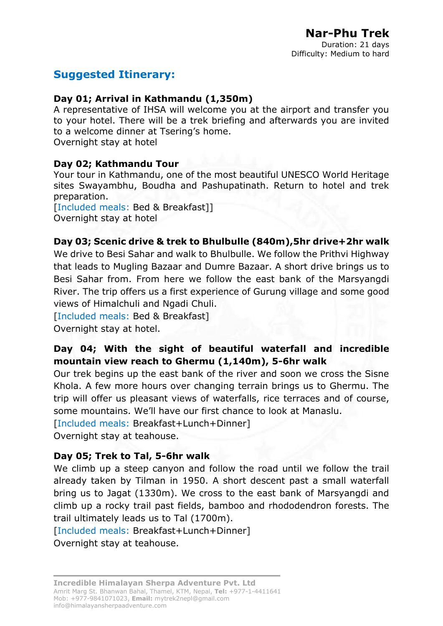# **Suggested Itinerary:**

#### **Day 01; Arrival in Kathmandu (1,350m)**

A representative of IHSA will welcome you at the airport and transfer you to your hotel. There will be a trek briefing and afterwards you are invited to a welcome dinner at Tsering's home. Overnight stay at hotel

#### **Day 02; Kathmandu Tour**

Your tour in Kathmandu, one of the most beautiful UNESCO World Heritage sites Swayambhu, Boudha and Pashupatinath. Return to hotel and trek preparation.

[Included meals: Bed & Breakfast]] Overnight stay at hotel

#### **Day 03; Scenic drive & trek to Bhulbulle (840m),5hr drive+2hr walk**

We drive to Besi Sahar and walk to Bhulbulle. We follow the Prithvi Highway that leads to Mugling Bazaar and Dumre Bazaar. A short drive brings us to Besi Sahar from. From here we follow the east bank of the Marsyangdi River. The trip offers us a first experience of Gurung village and some good views of Himalchuli and Ngadi Chuli.

[Included meals: Bed & Breakfast]

Overnight stay at hotel.

#### **Day 04; With the sight of beautiful waterfall and incredible mountain view reach to Ghermu (1,140m), 5-6hr walk**

Our trek begins up the east bank of the river and soon we cross the Sisne Khola. A few more hours over changing terrain brings us to Ghermu. The trip will offer us pleasant views of waterfalls, rice terraces and of course, some mountains. We'll have our first chance to look at Manaslu.

[Included meals: Breakfast+Lunch+Dinner]

Overnight stay at teahouse.

#### **Day 05; Trek to Tal, 5-6hr walk**

We climb up a steep canyon and follow the road until we follow the trail already taken by Tilman in 1950. A short descent past a small waterfall bring us to Jagat (1330m). We cross to the east bank of Marsyangdi and climb up a rocky trail past fields, bamboo and rhododendron forests. The trail ultimately leads us to Tal (1700m).

[Included meals: Breakfast+Lunch+Dinner]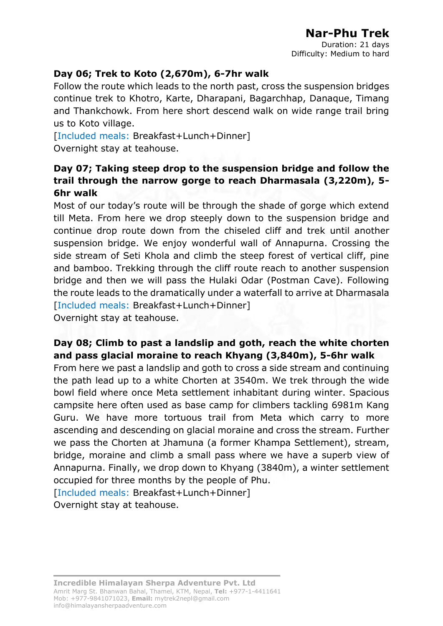Duration: 21 days Difficulty: Medium to hard

### **Day 06; Trek to Koto (2,670m), 6-7hr walk**

Follow the route which leads to the north past, cross the suspension bridges continue trek to Khotro, Karte, Dharapani, Bagarchhap, Danaque, Timang and Thankchowk. From here short descend walk on wide range trail bring us to Koto village.

[Included meals: Breakfast+Lunch+Dinner] Overnight stay at teahouse.

#### **Day 07; Taking steep drop to the suspension bridge and follow the trail through the narrow gorge to reach Dharmasala (3,220m), 5- 6hr walk**

Most of our today's route will be through the shade of gorge which extend till Meta. From here we drop steeply down to the suspension bridge and continue drop route down from the chiseled cliff and trek until another suspension bridge. We enjoy wonderful wall of Annapurna. Crossing the side stream of Seti Khola and climb the steep forest of vertical cliff, pine and bamboo. Trekking through the cliff route reach to another suspension bridge and then we will pass the Hulaki Odar (Postman Cave). Following the route leads to the dramatically under a waterfall to arrive at Dharmasala [Included meals: Breakfast+Lunch+Dinner]

Overnight stay at teahouse.

#### **Day 08; Climb to past a landslip and goth, reach the white chorten and pass glacial moraine to reach Khyang (3,840m), 5-6hr walk**

From here we past a landslip and goth to cross a side stream and continuing the path lead up to a white Chorten at 3540m. We trek through the wide bowl field where once Meta settlement inhabitant during winter. Spacious campsite here often used as base camp for climbers tackling 6981m Kang Guru. We have more tortuous trail from Meta which carry to more ascending and descending on glacial moraine and cross the stream. Further we pass the Chorten at Jhamuna (a former Khampa Settlement), stream, bridge, moraine and climb a small pass where we have a superb view of Annapurna. Finally, we drop down to Khyang (3840m), a winter settlement occupied for three months by the people of Phu.

[Included meals: Breakfast+Lunch+Dinner]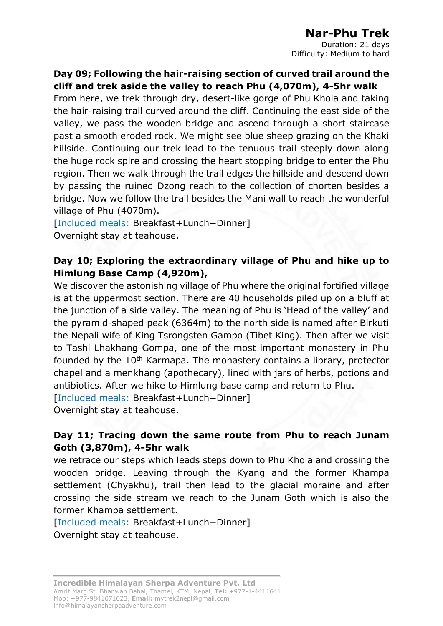Duration: 21 days Difficulty: Medium to hard

**Day 09; Following the hair-raising section of curved trail around the cliff and trek aside the valley to reach Phu (4,070m), 4-5hr walk**

From here, we trek through dry, desert-like gorge of Phu Khola and taking the hair-raising trail curved around the cliff. Continuing the east side of the valley, we pass the wooden bridge and ascend through a short staircase past a smooth eroded rock. We might see blue sheep grazing on the Khaki hillside. Continuing our trek lead to the tenuous trail steeply down along the huge rock spire and crossing the heart stopping bridge to enter the Phu region. Then we walk through the trail edges the hillside and descend down by passing the ruined Dzong reach to the collection of chorten besides a bridge. Now we follow the trail besides the Mani wall to reach the wonderful village of Phu (4070m).

[Included meals: Breakfast+Lunch+Dinner] Overnight stay at teahouse.

### **Day 10; Exploring the extraordinary village of Phu and hike up to Himlung Base Camp (4,920m),**

We discover the astonishing village of Phu where the original fortified village is at the uppermost section. There are 40 households piled up on a bluff at the junction of a side valley. The meaning of Phu is 'Head of the valley' and the pyramid-shaped peak (6364m) to the north side is named after Birkuti the Nepali wife of King Tsrongsten Gampo (Tibet King). Then after we visit to Tashi Lhakhang Gompa, one of the most important monastery in Phu founded by the 10<sup>th</sup> Karmapa. The monastery contains a library, protector chapel and a menkhang (apothecary), lined with jars of herbs, potions and antibiotics. After we hike to Himlung base camp and return to Phu.

[Included meals: Breakfast+Lunch+Dinner]

Overnight stay at teahouse.

### **Day 11; Tracing down the same route from Phu to reach Junam Goth (3,870m), 4-5hr walk**

we retrace our steps which leads steps down to Phu Khola and crossing the wooden bridge. Leaving through the Kyang and the former Khampa settlement (Chyakhu), trail then lead to the glacial moraine and after crossing the side stream we reach to the Junam Goth which is also the former Khampa settlement.

[Included meals: Breakfast+Lunch+Dinner]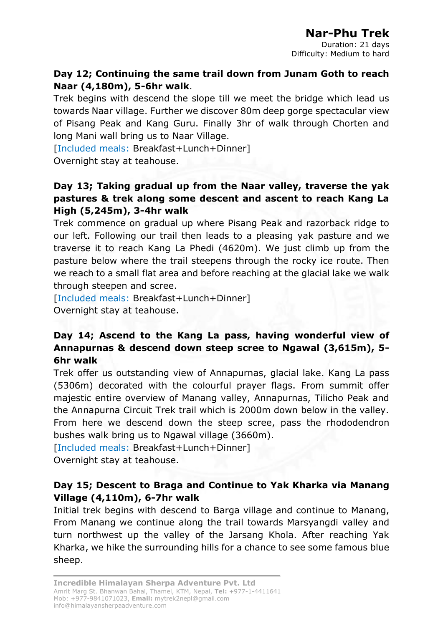Duration: 21 days Difficulty: Medium to hard

#### **Day 12; Continuing the same trail down from Junam Goth to reach Naar (4,180m), 5-6hr walk**.

Trek begins with descend the slope till we meet the bridge which lead us towards Naar village. Further we discover 80m deep gorge spectacular view of Pisang Peak and Kang Guru. Finally 3hr of walk through Chorten and long Mani wall bring us to Naar Village.

[Included meals: Breakfast+Lunch+Dinner]

Overnight stay at teahouse.

#### **Day 13; Taking gradual up from the Naar valley, traverse the yak pastures & trek along some descent and ascent to reach Kang La High (5,245m), 3-4hr walk**

Trek commence on gradual up where Pisang Peak and razorback ridge to our left. Following our trail then leads to a pleasing yak pasture and we traverse it to reach Kang La Phedi (4620m). We just climb up from the pasture below where the trail steepens through the rocky ice route. Then we reach to a small flat area and before reaching at the glacial lake we walk through steepen and scree.

[Included meals: Breakfast+Lunch+Dinner] Overnight stay at teahouse.

#### **Day 14; Ascend to the Kang La pass, having wonderful view of Annapurnas & descend down steep scree to Ngawal (3,615m), 5- 6hr walk**

Trek offer us outstanding view of Annapurnas, glacial lake. Kang La pass (5306m) decorated with the colourful prayer flags. From summit offer majestic entire overview of Manang valley, Annapurnas, Tilicho Peak and the Annapurna Circuit Trek trail which is 2000m down below in the valley. From here we descend down the steep scree, pass the rhododendron bushes walk bring us to Ngawal village (3660m).

[Included meals: Breakfast+Lunch+Dinner]

Overnight stay at teahouse.

### **Day 15; Descent to Braga and Continue to Yak Kharka via Manang Village (4,110m), 6-7hr walk**

Initial trek begins with descend to Barga village and continue to Manang, From Manang we continue along the trail towards Marsyangdi valley and turn northwest up the valley of the Jarsang Khola. After reaching Yak Kharka, we hike the surrounding hills for a chance to see some famous blue sheep.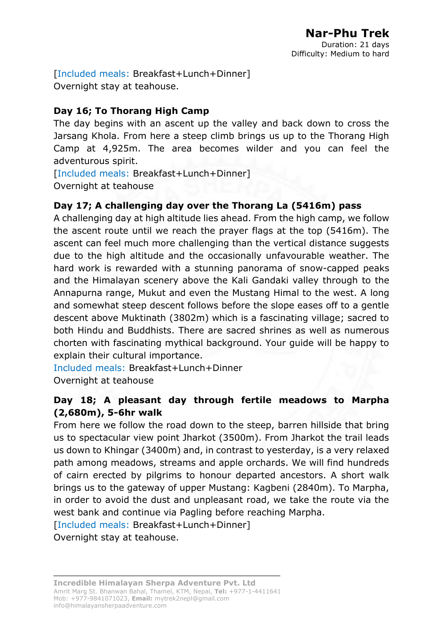[Included meals: Breakfast+Lunch+Dinner] Overnight stay at teahouse.

#### **Day 16; To Thorang High Camp**

The day begins with an ascent up the valley and back down to cross the Jarsang Khola. From here a steep climb brings us up to the Thorang High Camp at 4,925m. The area becomes wilder and you can feel the adventurous spirit.

[Included meals: Breakfast+Lunch+Dinner] Overnight at teahouse

### **Day 17; A challenging day over the Thorang La (5416m) pass**

A challenging day at high altitude lies ahead. From the high camp, we follow the ascent route until we reach the prayer flags at the top (5416m). The ascent can feel much more challenging than the vertical distance suggests due to the high altitude and the occasionally unfavourable weather. The hard work is rewarded with a stunning panorama of snow-capped peaks and the Himalayan scenery above the Kali Gandaki valley through to the Annapurna range, Mukut and even the Mustang Himal to the west. A long and somewhat steep descent follows before the slope eases off to a gentle descent above Muktinath (3802m) which is a fascinating village; sacred to both Hindu and Buddhists. There are sacred shrines as well as numerous chorten with fascinating mythical background. Your guide will be happy to explain their cultural importance.

Included meals: Breakfast+Lunch+Dinner Overnight at teahouse

#### **Day 18; A pleasant day through fertile meadows to Marpha (2,680m), 5-6hr walk**

From here we follow the road down to the steep, barren hillside that bring us to spectacular view point Jharkot (3500m). From Jharkot the trail leads us down to Khingar (3400m) and, in contrast to yesterday, is a very relaxed path among meadows, streams and apple orchards. We will find hundreds of cairn erected by pilgrims to honour departed ancestors. A short walk brings us to the gateway of upper Mustang: Kagbeni (2840m). To Marpha, in order to avoid the dust and unpleasant road, we take the route via the west bank and continue via Pagling before reaching Marpha.

[Included meals: Breakfast+Lunch+Dinner]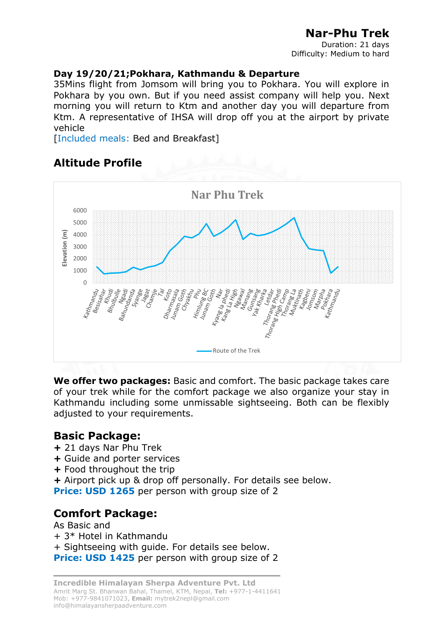Duration: 21 days Difficulty: Medium to hard

#### **Day 19/20/21;Pokhara, Kathmandu & Departure**

35Mins flight from Jomsom will bring you to Pokhara. You will explore in Pokhara by you own. But if you need assist company will help you. Next morning you will return to Ktm and another day you will departure from Ktm. A representative of IHSA will drop off you at the airport by private vehicle

[Included meals: Bed and Breakfast]

## **Altitude Profile**



**We offer two packages:** Basic and comfort. The basic package takes care of your trek while for the comfort package we also organize your stay in Kathmandu including some unmissable sightseeing. Both can be flexibly adjusted to your requirements.

### **Basic Package:**

- **+** 21 days Nar Phu Trek
- **+** Guide and porter services
- **+** Food throughout the trip
- **+** Airport pick up & drop off personally. For details see below.

**Price: USD 1265** per person with group size of 2

## **Comfort Package:**

As Basic and + 3\* Hotel in Kathmandu + Sightseeing with guide. For details see below. **Price: USD 1425** per person with group size of 2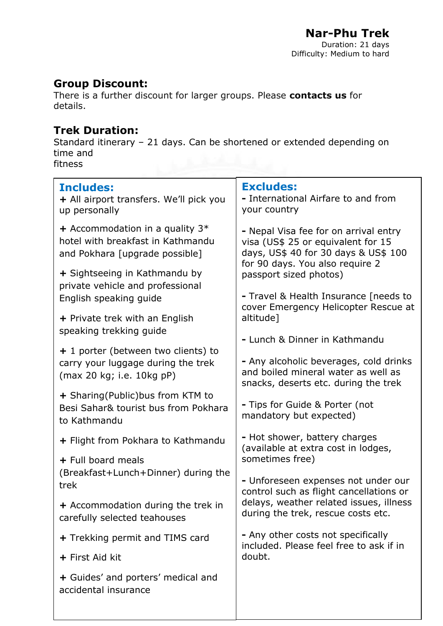## **Group Discount:**

There is a further discount for larger groups. Please **contacts us** for details.

## **Trek Duration:**

Standard itinerary – 21 days. Can be shortened or extended depending on time and fitness

| <b>Includes:</b><br>+ All airport transfers. We'll pick you<br>up personally                             | <b>Excludes:</b><br>- International Airfare to and from<br>your country                                               |
|----------------------------------------------------------------------------------------------------------|-----------------------------------------------------------------------------------------------------------------------|
| + Accommodation in a quality $3*$<br>hotel with breakfast in Kathmandu<br>and Pokhara [upgrade possible] | - Nepal Visa fee for on arrival entry<br>visa (US\$ 25 or equivalent for 15<br>days, US\$ 40 for 30 days & US\$ 100   |
| + Sightseeing in Kathmandu by<br>private vehicle and professional                                        | for 90 days. You also require 2<br>passport sized photos)                                                             |
| English speaking guide                                                                                   | - Travel & Health Insurance [needs to<br>cover Emergency Helicopter Rescue at                                         |
| + Private trek with an English<br>speaking trekking guide                                                | altitude]                                                                                                             |
| + 1 porter (between two clients) to                                                                      | - Lunch & Dinner in Kathmandu                                                                                         |
| carry your luggage during the trek<br>(max 20 kg; i.e. 10kg pP)                                          | - Any alcoholic beverages, cold drinks<br>and boiled mineral water as well as<br>snacks, deserts etc. during the trek |
| + Sharing(Public)bus from KTM to<br>Besi Sahar& tourist bus from Pokhara<br>to Kathmandu                 | - Tips for Guide & Porter (not<br>mandatory but expected)                                                             |
| + Flight from Pokhara to Kathmandu                                                                       | - Hot shower, battery charges<br>(available at extra cost in lodges,                                                  |
| + Full board meals                                                                                       | sometimes free)                                                                                                       |
| (Breakfast+Lunch+Dinner) during the<br>trek                                                              | - Unforeseen expenses not under our<br>control such as flight cancellations or                                        |
| + Accommodation during the trek in<br>carefully selected teahouses                                       | delays, weather related issues, illness<br>during the trek, rescue costs etc.                                         |
| + Trekking permit and TIMS card                                                                          | - Any other costs not specifically<br>included. Please feel free to ask if in<br>doubt.                               |
| + First Aid kit                                                                                          |                                                                                                                       |
| + Guides' and porters' medical and<br>accidental insurance                                               |                                                                                                                       |
|                                                                                                          |                                                                                                                       |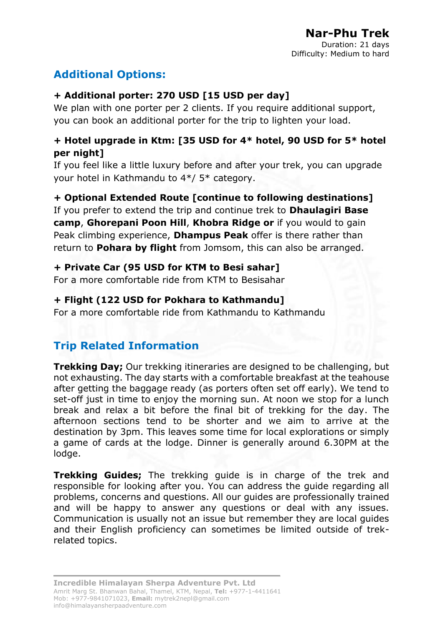# **Additional Options:**

### **+ Additional porter: 270 USD [15 USD per day]**

We plan with one porter per 2 clients. If you require additional support, you can book an additional porter for the trip to lighten your load.

#### **+ Hotel upgrade in Ktm: [35 USD for 4\* hotel, 90 USD for 5\* hotel per night]**

If you feel like a little luxury before and after your trek, you can upgrade your hotel in Kathmandu to 4\*/ 5\* category.

#### **+ Optional Extended Route [continue to following destinations]**

If you prefer to extend the trip and continue trek to **Dhaulagiri Base camp**, **Ghorepani Poon Hill**, **Khobra Ridge or** if you would to gain Peak climbing experience, **Dhampus Peak** offer is there rather than return to **Pohara by flight** from Jomsom, this can also be arranged.

#### **+ Private Car (95 USD for KTM to Besi sahar]**

For a more comfortable ride from KTM to Besisahar

#### **+ Flight (122 USD for Pokhara to Kathmandu]**

For a more comfortable ride from Kathmandu to Kathmandu

# **Trip Related Information**

**Trekking Day;** Our trekking itineraries are designed to be challenging, but not exhausting. The day starts with a comfortable breakfast at the teahouse after getting the baggage ready (as porters often set off early). We tend to set-off just in time to enjoy the morning sun. At noon we stop for a lunch break and relax a bit before the final bit of trekking for the day. The afternoon sections tend to be shorter and we aim to arrive at the destination by 3pm. This leaves some time for local explorations or simply a game of cards at the lodge. Dinner is generally around 6.30PM at the lodge.

**Trekking Guides;** The trekking guide is in charge of the trek and responsible for looking after you. You can address the guide regarding all problems, concerns and questions. All our guides are professionally trained and will be happy to answer any questions or deal with any issues. Communication is usually not an issue but remember they are local guides and their English proficiency can sometimes be limited outside of trekrelated topics.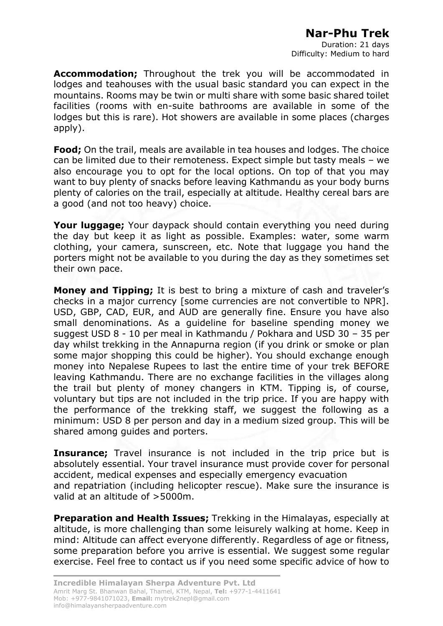Duration: 21 days Difficulty: Medium to hard

**Accommodation;** Throughout the trek you will be accommodated in lodges and teahouses with the usual basic standard you can expect in the mountains. Rooms may be twin or multi share with some basic shared toilet facilities (rooms with en-suite bathrooms are available in some of the lodges but this is rare). Hot showers are available in some places (charges apply).

**Food;** On the trail, meals are available in tea houses and lodges. The choice can be limited due to their remoteness. Expect simple but tasty meals – we also encourage you to opt for the local options. On top of that you may want to buy plenty of snacks before leaving Kathmandu as your body burns plenty of calories on the trail, especially at altitude. Healthy cereal bars are a good (and not too heavy) choice.

**Your luggage;** Your daypack should contain everything you need during the day but keep it as light as possible. Examples: water, some warm clothing, your camera, sunscreen, etc. Note that luggage you hand the porters might not be available to you during the day as they sometimes set their own pace.

**Money and Tipping;** It is best to bring a mixture of cash and traveler's checks in a major currency [some currencies are not convertible to NPR]. USD, GBP, CAD, EUR, and AUD are generally fine. Ensure you have also small denominations. As a guideline for baseline spending money we suggest USD 8 - 10 per meal in Kathmandu / Pokhara and USD 30 – 35 per day whilst trekking in the Annapurna region (if you drink or smoke or plan some major shopping this could be higher). You should exchange enough money into Nepalese Rupees to last the entire time of your trek BEFORE leaving Kathmandu. There are no exchange facilities in the villages along the trail but plenty of money changers in KTM. Tipping is, of course, voluntary but tips are not included in the trip price. If you are happy with the performance of the trekking staff, we suggest the following as a minimum: USD 8 per person and day in a medium sized group. This will be shared among guides and porters.

**Insurance;** Travel insurance is not included in the trip price but is absolutely essential. Your travel insurance must provide cover for personal accident, medical expenses and especially emergency evacuation and repatriation (including helicopter rescue). Make sure the insurance is valid at an altitude of >5000m.

**Preparation and Health Issues;** Trekking in the Himalayas, especially at altitude, is more challenging than some leisurely walking at home. Keep in mind: Altitude can affect everyone differently. Regardless of age or fitness, some preparation before you arrive is essential. We suggest some regular exercise. Feel free to contact us if you need some specific advice of how to